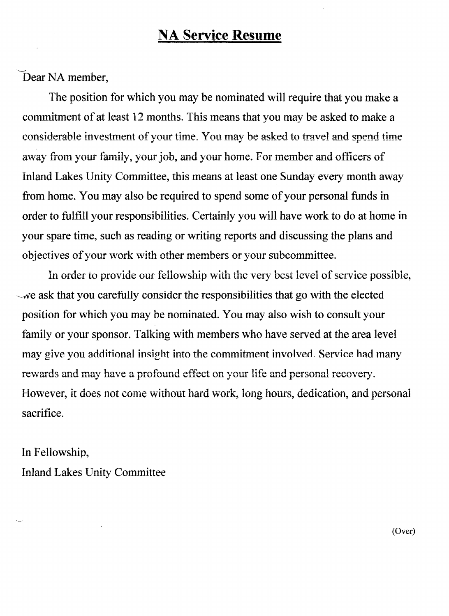## **NA Service Resume**

Dear NA member,

The position for which you may be nominated will require that you make a commitment of at least 12 months. This means that you may be asked to make a considerable investment of your time. You may be asked to travel and spend time away from your family, your job, and your home. For member and officers of Inland Lakes Unity Committee, this means at least one Sunday every month away from home. You may also be required to spend some of your personal funds in order to fulfill your responsibilities. Certainly you will have work to do at home in your spare time, such as reading or writing reports and discussing the plans and objectives of your work with other members or your subcommittee.

In order to provide our fellowship with the very best level of service possible, we ask that you carefully consider the responsibilities that go with the elected position for which you may be nominated. You may also wish to consult your family or your sponsor. Talking with members who have served at the area level may give you additional insight into the commitment involved. Service had many rewards and may have a profound effect on your life and personal recovery. However, it does not come without hard work, long hours, dedication, and personal sacrifice.

In Fellowship, **Inland Lakes Unity Committee** 

(Over)